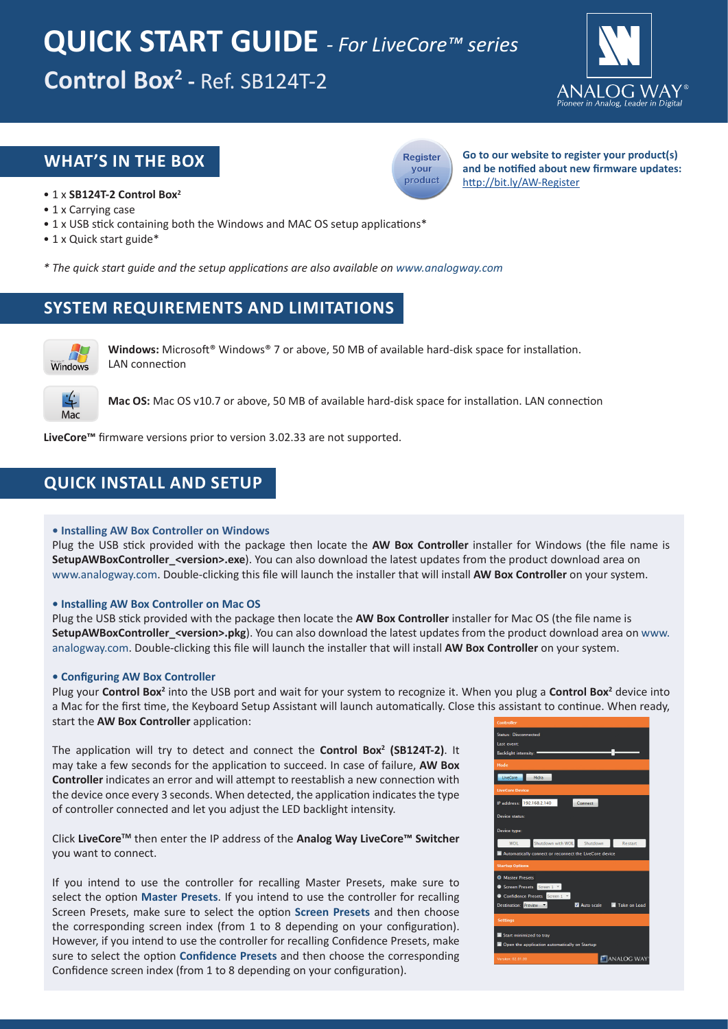# **Control Box2 -** Ref. SB124T-2 **QUICK START GUIDE** *- For LiveCore™ series*



# **WHAT'S IN THE BOX**



**Go to our website to register your product(s) and be notified about new firmware updates:** http://bit.ly/AW-Register

- 1 x **SB124T-2 Control Box2**
- 1 x Carrying case
- 1 x USB stick containing both the Windows and MAC OS setup applications\*
- 1 x Quick start guide\*
- *\* The quick start guide and the setup applications are also available on www.analogway.com*

# **SYSTEM REQUIREMENTS AND LIMITATIONS**



**Windows:** Microsoft® Windows® 7 or above, 50 MB of available hard-disk space for installation. LAN connection



**Mac OS:** Mac OS v10.7 or above, 50 MB of available hard-disk space for installation. LAN connection

**LiveCore™** firmware versions prior to version 3.02.33 are not supported.

# **QUICK INSTALL AND SETUP**

## **• Installing AW Box Controller on Windows**

Plug the USB stick provided with the package then locate the **AW Box Controller** installer for Windows (the file name is **SetupAWBoxController\_<version>.exe**). You can also download the latest updates from the product download area on www.analogway.com. Double-clicking this file will launch the installer that will install **AW Box Controller** on your system.

## **• Installing AW Box Controller on Mac OS**

Plug the USB stick provided with the package then locate the **AW Box Controller** installer for Mac OS (the file name is **SetupAWBoxController\_<version>.pkg**). You can also download the latest updates from the product download area on www. analogway.com. Double-clicking this file will launch the installer that will install **AW Box Controller** on your system.

## **• Configuring AW Box Controller**

Plug your Control Box<sup>2</sup> into the USB port and wait for your system to recognize it. When you plug a Control Box<sup>2</sup> device into a Mac for the first time, the Keyboard Setup Assistant will launch automatically. Close this assistant to continue. When ready, start the **AW Box Controller** application:

The application will try to detect and connect the **Control Box2 (SB124T-2)**. It may take a few seconds for the application to succeed. In case of failure, **AW Box Controller** indicates an error and will attempt to reestablish a new connection with the device once every 3 seconds. When detected, the application indicates the type of controller connected and let you adjust the LED backlight intensity.

Click **LiveCoreTM** then enter the IP address of the **Analog Way LiveCore™ Switcher** you want to connect.

If you intend to use the controller for recalling Master Presets, make sure to select the option **Master Presets**. If you intend to use the controller for recalling Screen Presets, make sure to select the option **Screen Presets** and then choose the corresponding screen index (from 1 to 8 depending on your configuration). However, if you intend to use the controller for recalling Confidence Presets, make sure to select the option **Confidence Presets** and then choose the corresponding Confidence screen index (from 1 to 8 depending on your configuration).

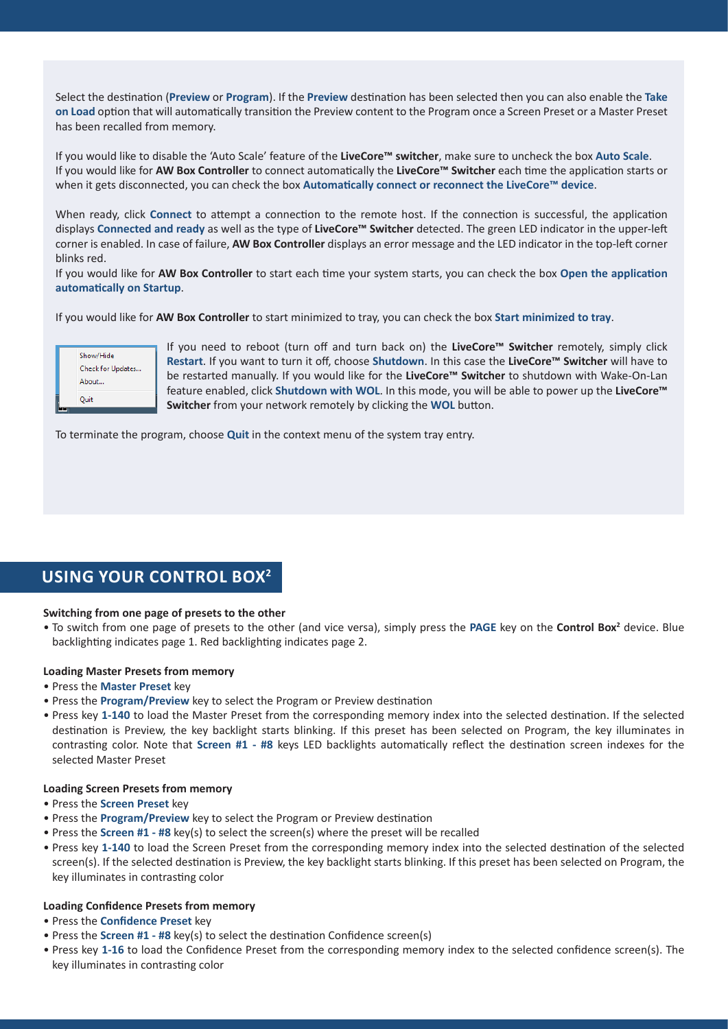Select the destination (**Preview** or **Program**). If the **Preview** destination has been selected then you can also enable the **Take on Load** option that will automatically transition the Preview content to the Program once a Screen Preset or a Master Preset has been recalled from memory.

If you would like to disable the 'Auto Scale' feature of the **LiveCore™ switcher**, make sure to uncheck the box **Auto Scale**. If you would like for **AW Box Controller** to connect automatically the **LiveCore™ Switcher** each time the application starts or when it gets disconnected, you can check the box **Automatically connect or reconnect the LiveCore™ device**.

When ready, click **Connect** to attempt a connection to the remote host. If the connection is successful, the application displays **Connected and ready** as well as the type of **LiveCore™ Switcher** detected. The green LED indicator in the upper-left corner is enabled. In case of failure, **AW Box Controller** displays an error message and the LED indicator in the top-left corner blinks red.

If you would like for **AW Box Controller** to start each time your system starts, you can check the box **Open the application automatically on Startup**.

If you would like for **AW Box Controller** to start minimized to tray, you can check the box **Start minimized to tray**.

| Show/Hide<br>Check for Updates<br>About |
|-----------------------------------------|
| Quit                                    |

If you need to reboot (turn off and turn back on) the **LiveCore™ Switcher** remotely, simply click **Restart**. If you want to turn it off, choose **Shutdown**. In this case the **LiveCore™ Switcher** will have to be restarted manually. If you would like for the **LiveCore™ Switcher** to shutdown with Wake-On-Lan feature enabled, click **Shutdown with WOL**. In this mode, you will be able to power up the **LiveCore™ Switcher** from your network remotely by clicking the **WOL** button.

To terminate the program, choose **Quit** in the context menu of the system tray entry.

# **USING YOUR CONTROL BOX2**

#### **Switching from one page of presets to the other**

• To switch from one page of presets to the other (and vice versa), simply press the **PAGE** key on the **Control Box2** device. Blue backlighting indicates page 1. Red backlighting indicates page 2.

#### **Loading Master Presets from memory**

- Press the **Master Preset** key
- Press the **Program/Preview** key to select the Program or Preview destination
- Press key **1-140** to load the Master Preset from the corresponding memory index into the selected destination. If the selected destination is Preview, the key backlight starts blinking. If this preset has been selected on Program, the key illuminates in contrasting color. Note that **Screen #1 - #8** keys LED backlights automatically reflect the destination screen indexes for the selected Master Preset

#### **Loading Screen Presets from memory**

- Press the **Screen Preset** key
- Press the **Program/Preview** key to select the Program or Preview destination
- Press the **Screen #1 #8** key(s) to select the screen(s) where the preset will be recalled
- Press key **1-140** to load the Screen Preset from the corresponding memory index into the selected destination of the selected screen(s). If the selected destination is Preview, the key backlight starts blinking. If this preset has been selected on Program, the key illuminates in contrasting color

#### **Loading Confidence Presets from memory**

- Press the **Confidence Preset** key
- Press the **Screen #1 #8** key(s) to select the destination Confidence screen(s)
- Press key **1-16** to load the Confidence Preset from the corresponding memory index to the selected confidence screen(s). The key illuminates in contrasting color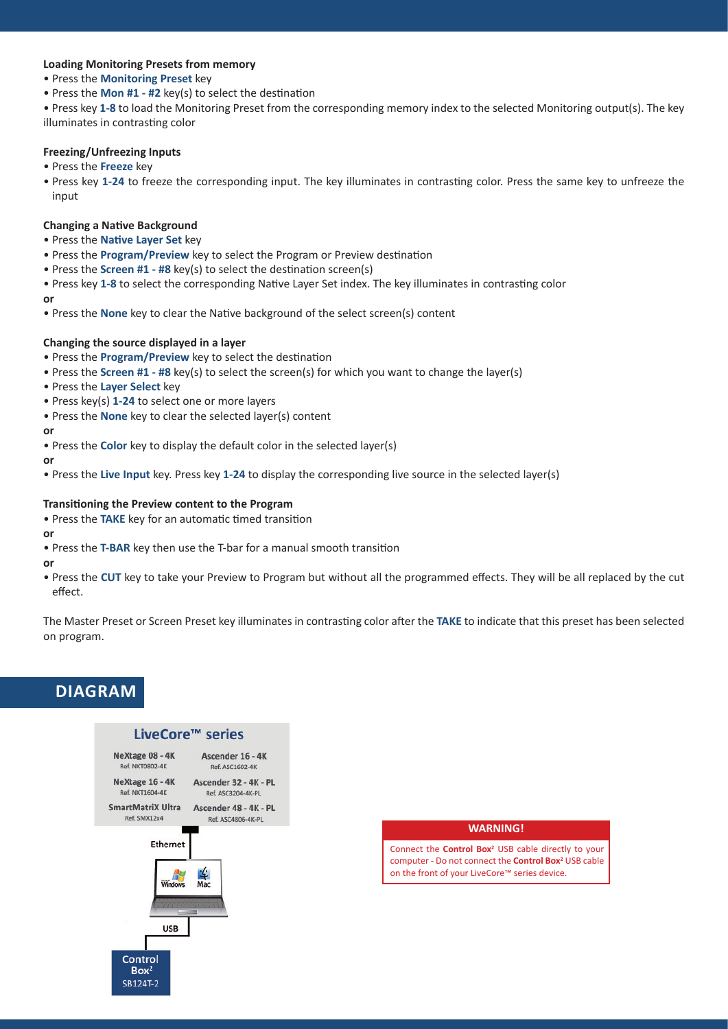## **Loading Monitoring Presets from memory**

- Press the **Monitoring Preset** key
- Press the **Mon #1 #2** key(s) to select the destination

• Press key **1-8** to load the Monitoring Preset from the corresponding memory index to the selected Monitoring output(s). The key illuminates in contrasting color

## **Freezing/Unfreezing Inputs**

- Press the **Freeze** key
- Press key **1-24** to freeze the corresponding input. The key illuminates in contrasting color. Press the same key to unfreeze the input

## **Changing a Native Background**

• Press the **Native Layer Set** key

- Press the **Program/Preview** key to select the Program or Preview destination
- Press the **Screen #1 #8** key(s) to select the destination screen(s)

• Press key **1-8** to select the corresponding Native Layer Set index. The key illuminates in contrasting color **or**

• Press the **None** key to clear the Native background of the select screen(s) content

## **Changing the source displayed in a layer**

- Press the **Program/Preview** key to select the destination
- Press the **Screen #1 #8** key(s) to select the screen(s) for which you want to change the layer(s)
- Press the **Layer Select** key
- Press key(s) **1-24** to select one or more layers
- Press the **None** key to clear the selected layer(s) content

## **or**

- Press the **Color** key to display the default color in the selected layer(s)
- **or**
- Press the **Live Input** key. Press key **1-24** to display the corresponding live source in the selected layer(s)

## **Transitioning the Preview content to the Program**

• Press the **TAKE** key for an automatic timed transition

#### **or**

• Press the **T-BAR** key then use the T-bar for a manual smooth transition

**or**

• Press the **CUT** key to take your Preview to Program but without all the programmed effects. They will be all replaced by the cut effect.

The Master Preset or Screen Preset key illuminates in contrasting color after the **TAKE** to indicate that this preset has been selected on program.

# **DIAGRAM**